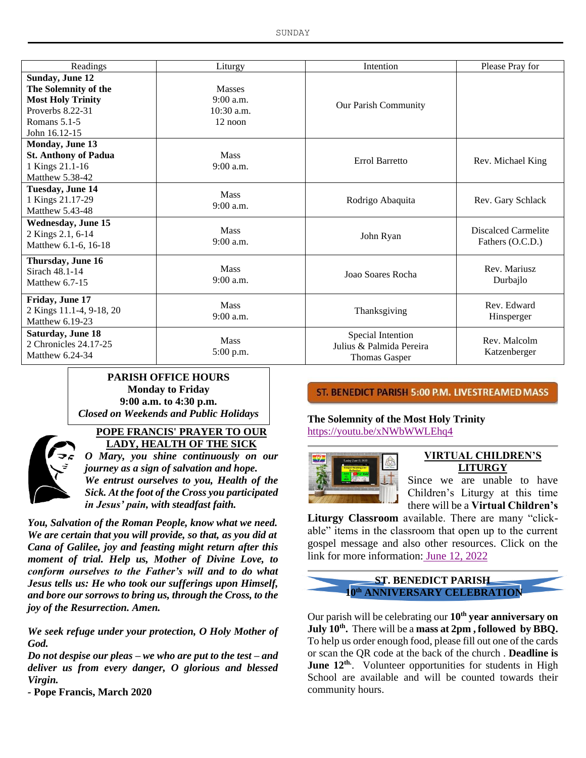| Readings                                                                                                                 | Liturgy                                                 | Intention                                                             | Please Pray for                         |
|--------------------------------------------------------------------------------------------------------------------------|---------------------------------------------------------|-----------------------------------------------------------------------|-----------------------------------------|
| Sunday, June 12<br>The Solemnity of the<br><b>Most Holy Trinity</b><br>Proverbs 8.22-31<br>Romans 5.1-5<br>John 16.12-15 | <b>Masses</b><br>9:00 a.m.<br>$10:30$ a.m.<br>$12$ noon | <b>Our Parish Community</b>                                           |                                         |
| <b>Monday, June 13</b><br><b>St. Anthony of Padua</b><br>1 Kings 21.1-16<br>Matthew 5.38-42                              | <b>Mass</b><br>9:00 a.m.                                | Errol Barretto                                                        | Rev. Michael King                       |
| <b>Tuesday, June 14</b><br>1 Kings 21.17-29<br><b>Matthew 5.43-48</b>                                                    | <b>Mass</b><br>9:00 a.m.                                | Rodrigo Abaquita                                                      | Rev. Gary Schlack                       |
| <b>Wednesday, June 15</b><br>2 Kings 2.1, 6-14<br>Matthew 6.1-6, 16-18                                                   | <b>Mass</b><br>9:00 a.m.                                | John Ryan                                                             | Discalced Carmelite<br>Fathers (O.C.D.) |
| Thursday, June 16<br>Sirach 48.1-14<br>Matthew $6.7-15$                                                                  | <b>Mass</b><br>9:00 a.m.                                | Joao Soares Rocha                                                     | Rev. Mariusz<br>Durbajlo                |
| Friday, June 17<br>2 Kings 11.1-4, 9-18, 20<br>Matthew 6.19-23                                                           | <b>Mass</b><br>9:00 a.m.                                | Thanksgiving                                                          | Rev. Edward<br>Hinsperger               |
| <b>Saturday, June 18</b><br>2 Chronicles 24.17-25<br>Matthew $6.24-34$                                                   | <b>Mass</b><br>5:00 p.m.                                | Special Intention<br>Julius & Palmida Pereira<br><b>Thomas Gasper</b> | Rev. Malcolm<br>Katzenberger            |

#### **PARISH OFFICE HOURS Monday to Friday 9:00 a.m. to 4:30 p.m.** *Closed on Weekends and Public Holidays*



#### **POPE FRANCIS' PRAYER TO OUR LADY, HEALTH OF THE SICK**

*O Mary, you shine continuously on our journey as a sign of salvation and hope. We entrust ourselves to you, Health of the Sick. At the foot of the Cross you participated in Jesus' pain, with steadfast faith.*

*You, Salvation of the Roman People, know what we need. We are certain that you will provide, so that, as you did at Cana of Galilee, joy and feasting might return after this moment of trial. Help us, Mother of Divine Love, to conform ourselves to the Father's will and to do what Jesus tells us: He who took our sufferings upon Himself, and bore our sorrows to bring us, through the Cross, to the joy of the Resurrection. Amen.*

*We seek refuge under your protection, O Holy Mother of God.*

*Do not despise our pleas – we who are put to the test – and deliver us from every danger, O glorious and blessed Virgin.*

*-* **Pope Francis, March 2020**

ST. BENEDICT PARISH 5:00 P.M. LIVESTREAMED MASS

## **The Solemnity of the Most Holy Trinity** https://youtu.be/xNWbWWLEhq4



#### **VIRTUAL CHILDREN'S LITURGY**

Since we are unable to have Children's Liturgy at this time there will be a **Virtual Children's** 

**Liturgy Classroom** available. There are many "clickable" items in the classroom that open up to the current gospel message and also other resources. Click on the link for more information: June 12, 2022

## **ST. BENEDICT PARISH 10th ANNIVERSARY CELEBRATION**

Our parish will be celebrating our **10th year anniversary on July 10 th .** There will be a **mass at 2pm , followed by BBQ.** To help us order enough food, please fill out one of the cards or scan the QR code at the back of the church . **Deadline is June 12th.** . Volunteer opportunities for students in High School are available and will be counted towards their community hours.